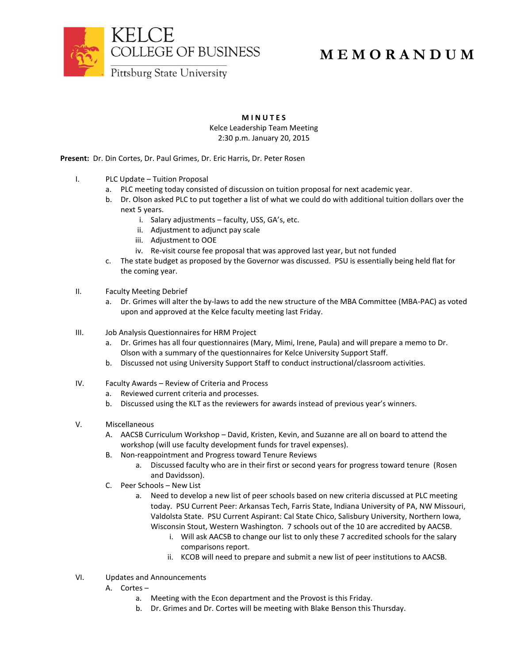

## **M E M O R A N D U M**

**M I N U T E S**

Kelce Leadership Team Meeting 2:30 p.m. January 20, 2015

**Present:** Dr. Din Cortes, Dr. Paul Grimes, Dr. Eric Harris, Dr. Peter Rosen

- I. PLC Update Tuition Proposal
	- a. PLC meeting today consisted of discussion on tuition proposal for next academic year.
	- b. Dr. Olson asked PLC to put together a list of what we could do with additional tuition dollars over the next 5 years.
		- i. Salary adjustments faculty, USS, GA's, etc.
		- ii. Adjustment to adjunct pay scale
		- iii. Adjustment to OOE
		- iv. Re-visit course fee proposal that was approved last year, but not funded
	- c. The state budget as proposed by the Governor was discussed. PSU is essentially being held flat for the coming year.
- II. Faculty Meeting Debrief
	- a. Dr. Grimes will alter the by-laws to add the new structure of the MBA Committee (MBA-PAC) as voted upon and approved at the Kelce faculty meeting last Friday.
- III. Job Analysis Questionnaires for HRM Project
	- a. Dr. Grimes has all four questionnaires (Mary, Mimi, Irene, Paula) and will prepare a memo to Dr. Olson with a summary of the questionnaires for Kelce University Support Staff.
	- b. Discussed not using University Support Staff to conduct instructional/classroom activities.
- IV. Faculty Awards Review of Criteria and Process
	- a. Reviewed current criteria and processes.
	- b. Discussed using the KLT as the reviewers for awards instead of previous year's winners.
- V. Miscellaneous
	- A. AACSB Curriculum Workshop David, Kristen, Kevin, and Suzanne are all on board to attend the workshop (will use faculty development funds for travel expenses).
	- B. Non-reappointment and Progress toward Tenure Reviews
		- a. Discussed faculty who are in their first or second years for progress toward tenure (Rosen and Davidsson).
	- C. Peer Schools New List
		- a. Need to develop a new list of peer schools based on new criteria discussed at PLC meeting today. PSU Current Peer: Arkansas Tech, Farris State, Indiana University of PA, NW Missouri, Valdolsta State. PSU Current Aspirant: Cal State Chico, Salisbury University, Northern Iowa, Wisconsin Stout, Western Washington. 7 schools out of the 10 are accredited by AACSB.
			- i. Will ask AACSB to change our list to only these 7 accredited schools for the salary comparisons report.
			- ii. KCOB will need to prepare and submit a new list of peer institutions to AACSB.
- VI. Updates and Announcements
	- A. Cortes
		- a. Meeting with the Econ department and the Provost is this Friday.
		- b. Dr. Grimes and Dr. Cortes will be meeting with Blake Benson this Thursday.